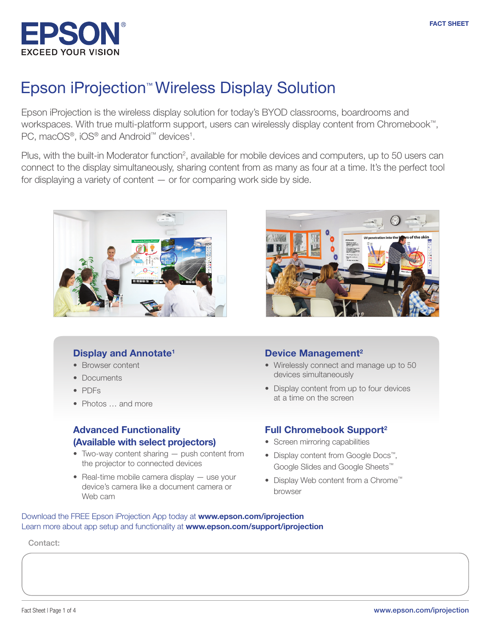

### Epson iProjection™ Wireless Display Solution

Epson iProjection is the wireless display solution for today's BYOD classrooms, boardrooms and workspaces. With true multi-platform support, users can wirelessly display content from Chromebook™, PC, macOS®, iOS® and Android™ devices<sup>1</sup>.

Plus, with the built-in Moderator function<sup>2</sup>, available for mobile devices and computers, up to 50 users can connect to the display simultaneously, sharing content from as many as four at a time. It's the perfect tool for displaying a variety of content — or for comparing work side by side.





- Browser content
- Documents
- PDFs
- Photos ... and more

#### Advanced Functionality (Available with select projectors)

- Two-way content sharing push content from the projector to connected devices
- Real-time mobile camera display use your device's camera like a document camera or Web cam

#### Device Management<sup>2</sup>

- Wirelessly connect and manage up to 50 devices simultaneously
- Display content from up to four devices at a time on the screen

#### Full Chromebook Support<sup>2</sup>

- Screen mirroring capabilities
- Display content from Google Docs™, Google Slides and Google Sheets™
- Display Web content from a Chrome™ browser

Download the FREE Epson iProjection App today at [www.epson.com/iprojection](http://www.epson.com/iprojection) Learn more about app setup and functionality at **[www.epson.com/support/iprojection](http://www.epson.com/support/iprojection)** 

Contact:

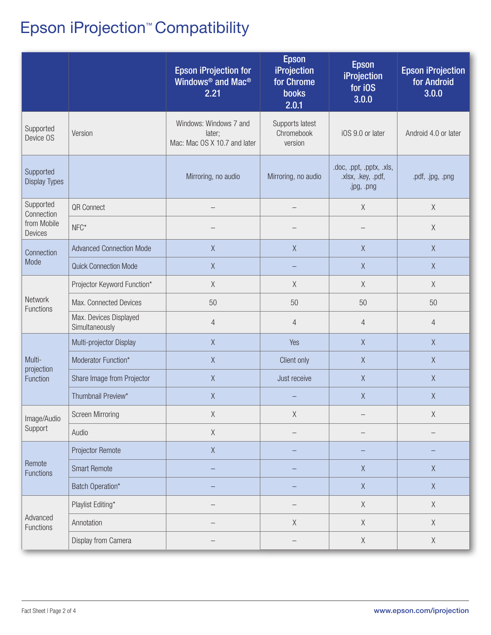# Epson iProjection™ Compatibility

|                                                   |                                          | <b>Epson iProjection for</b><br>Windows <sup>®</sup> and Mac <sup>®</sup><br>2.21 | <b>Epson</b><br>iProjection<br>for Chrome<br><b>books</b><br>2.0.1 | <b>Epson</b><br><b>iProjection</b><br>for iOS<br>3.0.0       | <b>Epson iProjection</b><br>for Android<br>3.0.0 |
|---------------------------------------------------|------------------------------------------|-----------------------------------------------------------------------------------|--------------------------------------------------------------------|--------------------------------------------------------------|--------------------------------------------------|
| Supported<br>Device OS                            | Version                                  | Windows: Windows 7 and<br>later;<br>Mac: Mac OS X 10.7 and later                  | Supports latest<br>Chromebook<br>version                           | iOS 9.0 or later                                             | Android 4.0 or later                             |
| Supported<br><b>Display Types</b>                 |                                          | Mirroring, no audio                                                               | Mirroring, no audio                                                | .doc, .ppt, .pptx, .xls,<br>.xlsx, .key, .pdf,<br>.jpg, .png | .pdf, .jpg, .png                                 |
| Supported<br>Connection<br>from Mobile<br>Devices | QR Connect                               |                                                                                   |                                                                    | $\mathsf X$                                                  | X                                                |
|                                                   | $NFC*$                                   |                                                                                   |                                                                    |                                                              | $\chi$                                           |
| Connection<br>Mode                                | <b>Advanced Connection Mode</b>          | $\mathsf X$                                                                       | $\chi$                                                             | $\chi$                                                       | $\chi$                                           |
|                                                   | <b>Quick Connection Mode</b>             | $\mathsf X$                                                                       |                                                                    | X                                                            | $\chi$                                           |
| Network<br>Functions                              | Projector Keyword Function*              | X                                                                                 | X                                                                  | X                                                            | $\chi$                                           |
|                                                   | Max. Connected Devices                   | 50                                                                                | 50                                                                 | 50                                                           | 50                                               |
|                                                   | Max. Devices Displayed<br>Simultaneously | $\overline{4}$                                                                    | $\overline{4}$                                                     | $\overline{4}$                                               | $\overline{4}$                                   |
| Multi-<br>projection<br>Function                  | Multi-projector Display                  | $\mathsf X$                                                                       | Yes                                                                | $\chi$                                                       | $\chi$                                           |
|                                                   | Moderator Function*                      | $\mathsf X$                                                                       | Client only                                                        | X                                                            | $\mathsf X$                                      |
|                                                   | Share Image from Projector               | $\mathsf X$                                                                       | Just receive                                                       | $\mathsf X$                                                  | $\mathsf X$                                      |
|                                                   | Thumbnail Preview*                       | $\mathsf X$                                                                       |                                                                    | $\mathsf X$                                                  | $\mathsf X$                                      |
| Image/Audio<br>Support                            | <b>Screen Mirroring</b>                  | $\mathsf X$                                                                       | $\mathsf X$                                                        |                                                              | $\mathsf X$                                      |
|                                                   | Audio                                    | $\mathsf X$                                                                       |                                                                    |                                                              |                                                  |
| Remote<br><b>Functions</b>                        | Projector Remote                         | $\mathsf X$                                                                       |                                                                    |                                                              |                                                  |
|                                                   | <b>Smart Remote</b>                      |                                                                                   |                                                                    | $\mathsf X$                                                  | $\mathsf X$                                      |
|                                                   | Batch Operation*                         |                                                                                   |                                                                    | $\mathsf X$                                                  | $\mathsf X$                                      |
| Advanced<br>Functions                             | Playlist Editing*                        |                                                                                   |                                                                    | $\mathsf X$                                                  | $\mathsf X$                                      |
|                                                   | Annotation                               |                                                                                   | $\mathsf X$                                                        | $\mathsf X$                                                  | $\mathsf X$                                      |
|                                                   | Display from Camera                      |                                                                                   |                                                                    | $\mathsf X$                                                  | $\mathsf X$                                      |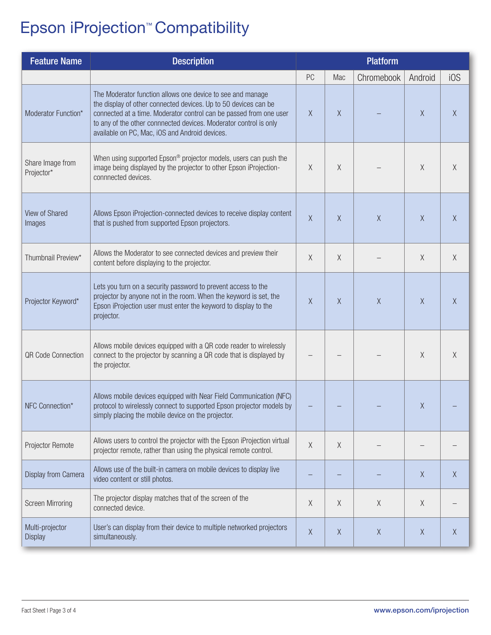# Epson iProjection™ Compatibility

| <b>Feature Name</b>               | <b>Description</b>                                                                                                                                                                                                                                                                                                         | <b>Platform</b> |          |            |          |        |
|-----------------------------------|----------------------------------------------------------------------------------------------------------------------------------------------------------------------------------------------------------------------------------------------------------------------------------------------------------------------------|-----------------|----------|------------|----------|--------|
|                                   |                                                                                                                                                                                                                                                                                                                            | PC              | Mac      | Chromebook | Android  | i0S    |
| Moderator Function*               | The Moderator function allows one device to see and manage<br>the display of other connected devices. Up to 50 devices can be<br>connected at a time. Moderator control can be passed from one user<br>to any of the other connnected devices. Moderator control is only<br>available on PC, Mac, iOS and Android devices. | X               | X        |            | X        | X      |
| Share Image from<br>Projector*    | When using supported Epson® projector models, users can push the<br>image being displayed by the projector to other Epson iProjection-<br>connnected devices.                                                                                                                                                              | X               | X        |            | X        | X      |
| View of Shared<br>Images          | Allows Epson iProjection-connected devices to receive display content<br>that is pushed from supported Epson projectors.                                                                                                                                                                                                   | $\chi$          | $\chi$   | $\chi$     | $\sf X$  | X      |
| Thumbnail Preview*                | Allows the Moderator to see connected devices and preview their<br>content before displaying to the projector.                                                                                                                                                                                                             | $\chi$          | X        |            | $\chi$   | $\chi$ |
| Projector Keyword*                | Lets you turn on a security password to prevent access to the<br>projector by anyone not in the room. When the keyword is set, the<br>Epson iProjection user must enter the keyword to display to the<br>projector.                                                                                                        | $\chi$          | $\times$ | $\chi$     | $\sf X$  | $\chi$ |
| <b>QR Code Connection</b>         | Allows mobile devices equipped with a QR code reader to wirelessly<br>connect to the projector by scanning a QR code that is displayed by<br>the projector.                                                                                                                                                                |                 |          |            | Χ        | X      |
| NFC Connection*                   | Allows mobile devices equipped with Near Field Communication (NFC)<br>protocol to wirelessly connect to supported Epson projector models by<br>simply placing the mobile device on the projector.                                                                                                                          |                 |          |            | X        |        |
| Projector Remote                  | Allows users to control the projector with the Epson iProjection virtual<br>projector remote, rather than using the physical remote control.                                                                                                                                                                               | $\chi$          | X        |            |          |        |
| Display from Camera               | Allows use of the built-in camera on mobile devices to display live<br>video content or still photos.                                                                                                                                                                                                                      |                 |          |            | X        | X      |
| <b>Screen Mirroring</b>           | The projector display matches that of the screen of the<br>connected device.                                                                                                                                                                                                                                               | $\mathsf X$     | X        | X          | $\times$ |        |
| Multi-projector<br><b>Display</b> | User's can display from their device to multiple networked projectors<br>simultaneously.                                                                                                                                                                                                                                   | $\chi$          | X        | X          | X        | X      |